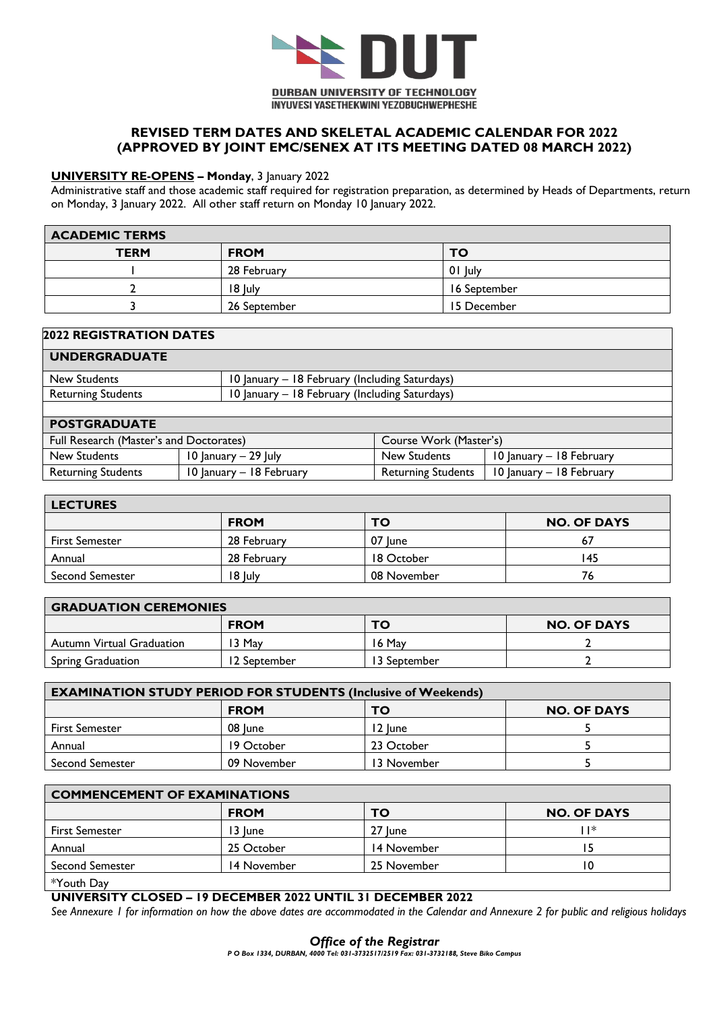

## **REVISED TERM DATES AND SKELETAL ACADEMIC CALENDAR FOR 2022 (APPROVED BY JOINT EMC/SENEX AT ITS MEETING DATED 08 MARCH 2022)**

### **UNIVERSITY RE-OPENS – Monday**, 3 January 2022

Administrative staff and those academic staff required for registration preparation, as determined by Heads of Departments, return on Monday, 3 January 2022. All other staff return on Monday 10 January 2022.

| <b>ACADEMIC TERMS</b> |              |              |
|-----------------------|--------------|--------------|
| <b>TERM</b>           | <b>FROM</b>  | <b>TO</b>    |
|                       | 28 February  | 01 July      |
|                       | 18 July      | 16 September |
|                       | 26 September | 15 December  |

|  |  | <b>2022 REGISTRATION DATES</b> |
|--|--|--------------------------------|
|  |  |                                |

| <b>UNDERGRADUATE</b>                    |                                                |  |
|-----------------------------------------|------------------------------------------------|--|
| New Students                            | 10 January - 18 February (Including Saturdays) |  |
| <b>Returning Students</b>               | 10 January – 18 February (Including Saturdays) |  |
|                                         |                                                |  |
| <b>POSTGRADUATE</b>                     |                                                |  |
| Eull Research (Master's and Decterates) | Course <i>Work</i> (Master's)                  |  |

| Full Research (Master's and Doctorates) |                          | Course Work (Master's)                   |                          |  |  |  |  |
|-----------------------------------------|--------------------------|------------------------------------------|--------------------------|--|--|--|--|
| New Students                            | $10$ lanuary $-29$ luly  | New Students<br>10 Ianuary – 18 February |                          |  |  |  |  |
| <b>Returning Students</b>               | 10 January – 18 February | Returning Students                       | 10 January – 18 February |  |  |  |  |

| <b>LECTURES</b>        |             |             |                    |  |  |  |  |  |  |  |  |
|------------------------|-------------|-------------|--------------------|--|--|--|--|--|--|--|--|
|                        | <b>FROM</b> | то          | <b>NO. OF DAYS</b> |  |  |  |  |  |  |  |  |
| <b>First Semester</b>  | 28 February | 07 lune     |                    |  |  |  |  |  |  |  |  |
| Annual                 | 28 February | 18 October  | 45                 |  |  |  |  |  |  |  |  |
| <b>Second Semester</b> | 18 July     | 08 November | 76                 |  |  |  |  |  |  |  |  |

| <b>GRADUATION CEREMONIES</b>     |              |               |                    |  |  |  |  |  |  |  |  |
|----------------------------------|--------------|---------------|--------------------|--|--|--|--|--|--|--|--|
|                                  | <b>FROM</b>  | то            | <b>NO. OF DAYS</b> |  |  |  |  |  |  |  |  |
| <b>Autumn Virtual Graduation</b> | 13 May       | 16 May        |                    |  |  |  |  |  |  |  |  |
| <b>Spring Graduation</b>         | 12 September | l 3 September |                    |  |  |  |  |  |  |  |  |

| <b>EXAMINATION STUDY PERIOD FOR STUDENTS (Inclusive of Weekends)</b> |             |             |  |  |  |  |  |  |  |  |  |
|----------------------------------------------------------------------|-------------|-------------|--|--|--|--|--|--|--|--|--|
| <b>FROM</b><br><b>NO. OF DAYS</b><br>TO                              |             |             |  |  |  |  |  |  |  |  |  |
| <b>First Semester</b>                                                | 08 lune     | 12 lune     |  |  |  |  |  |  |  |  |  |
| Annual                                                               | 19 October  | 23 October  |  |  |  |  |  |  |  |  |  |
| <b>Second Semester</b>                                               | 09 November | 13 November |  |  |  |  |  |  |  |  |  |

| <b>COMMENCEMENT OF EXAMINATIONS</b> |             |             |                    |  |  |  |  |  |  |  |  |
|-------------------------------------|-------------|-------------|--------------------|--|--|--|--|--|--|--|--|
|                                     | <b>FROM</b> | то          | <b>NO. OF DAYS</b> |  |  |  |  |  |  |  |  |
| <b>First Semester</b>               | 13 June     | 27 June     | *                  |  |  |  |  |  |  |  |  |
| Annual                              | 25 October  | 14 November |                    |  |  |  |  |  |  |  |  |
| <b>Second Semester</b>              | 14 November | 25 November |                    |  |  |  |  |  |  |  |  |
| *Youth Day                          |             |             |                    |  |  |  |  |  |  |  |  |

#### **UNIVERSITY CLOSED – 19 DECEMBER 2022 UNTIL 31 DECEMBER 2022**

See Annexure 1 for information on how the above dates are accommodated in the Calendar and Annexure 2 for public and religious holidays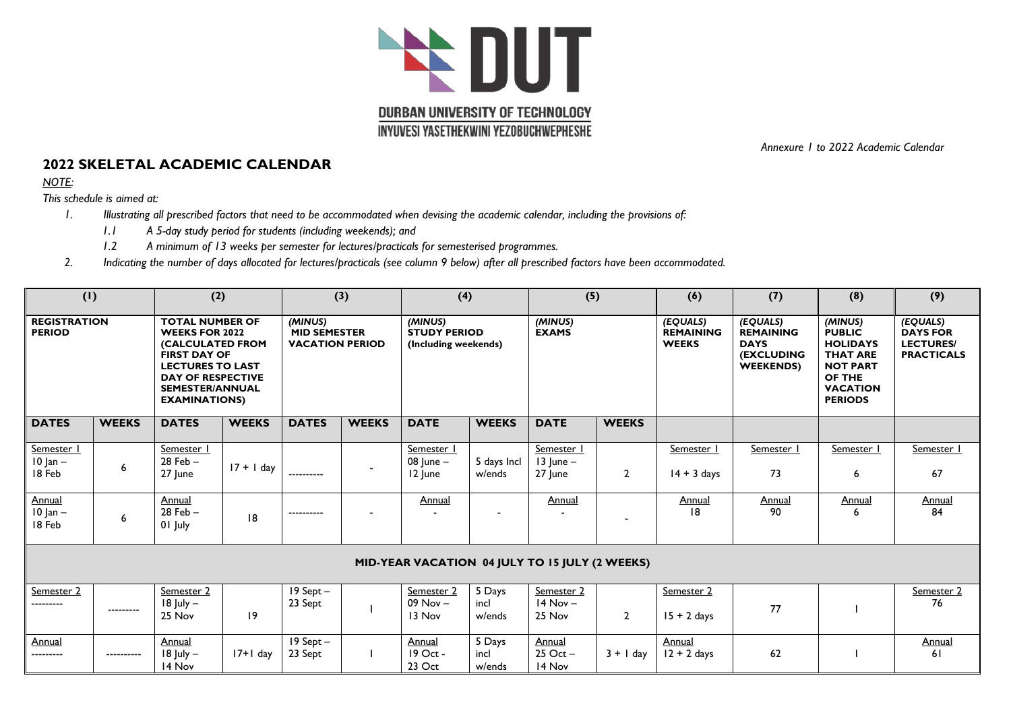

*Annexure 1 to 2022 Academic Calendar*

# **2022 SKELETAL ACADEMIC CALENDAR**

*NOTE:*

*This schedule is aimed at:*

- *1. Illustrating all prescribed factors that need to be accommodated when devising the academic calendar, including the provisions of:*
	- *1.1 A 5-day study period for students (including weekends); and*
	- *1.2 A minimum of 13 weeks per semester for lectures/practicals for semesterised programmes.*
- *2. Indicating the number of days allocated for lectures/practicals (see column 9 below) after all prescribed factors have been accommodated.*

|                                      | (1)          |                                                                                                                                                                                                     | (2)          |                                                          | (3)          | (4)                                                    |                          | (5)                                             |                | (6)                                          | (7)                                                                                  | (8)                                                                                                                              | (9)                                                                  |
|--------------------------------------|--------------|-----------------------------------------------------------------------------------------------------------------------------------------------------------------------------------------------------|--------------|----------------------------------------------------------|--------------|--------------------------------------------------------|--------------------------|-------------------------------------------------|----------------|----------------------------------------------|--------------------------------------------------------------------------------------|----------------------------------------------------------------------------------------------------------------------------------|----------------------------------------------------------------------|
| <b>REGISTRATION</b><br><b>PERIOD</b> |              | <b>TOTAL NUMBER OF</b><br><b>WEEKS FOR 2022</b><br>(CALCULATED FROM<br><b>FIRST DAY OF</b><br><b>LECTURES TO LAST</b><br><b>DAY OF RESPECTIVE</b><br><b>SEMESTER/ANNUAL</b><br><b>EXAMINATIONS)</b> |              | (MINUS)<br><b>MID SEMESTER</b><br><b>VACATION PERIOD</b> |              | (MINUS)<br><b>STUDY PERIOD</b><br>(Including weekends) |                          | (MINUS)<br><b>EXAMS</b>                         |                | (EQUALS)<br><b>REMAINING</b><br><b>WEEKS</b> | (EQUALS)<br><b>REMAINING</b><br><b>DAYS</b><br><b>(EXCLUDING</b><br><b>WEEKENDS)</b> | (MINUS)<br><b>PUBLIC</b><br><b>HOLIDAYS</b><br><b>THAT ARE</b><br><b>NOT PART</b><br>OF THE<br><b>VACATION</b><br><b>PERIODS</b> | (EQUALS)<br><b>DAYS FOR</b><br><b>LECTURES/</b><br><b>PRACTICALS</b> |
| <b>DATES</b>                         | <b>WEEKS</b> | <b>DATES</b>                                                                                                                                                                                        | <b>WEEKS</b> | <b>DATES</b>                                             | <b>WEEKS</b> | <b>DATE</b>                                            | <b>WEEKS</b>             | <b>DATE</b>                                     | <b>WEEKS</b>   |                                              |                                                                                      |                                                                                                                                  |                                                                      |
| Semester I<br>$10$ Jan $-$<br>18 Feb | 6            | Semester I<br>$28$ Feb $-$<br>27 June                                                                                                                                                               | $17 + 1$ day | ----------                                               |              | Semester  <br>08 $ $ une $-$<br>12 June                | 5 days Incl<br>w/ends    | Semester I<br>$13$ lune $-$<br>27 June          | $\overline{2}$ | Semester  <br>$14 + 3$ days                  | Semester 1<br>73                                                                     | Semester I<br>6                                                                                                                  | Semester  <br>67                                                     |
| Annual<br>$10$ Jan $-$<br>18 Feb     | 6            | Annual<br>$28$ Feb $-$<br>01 July                                                                                                                                                                   | 18           | ----------                                               |              | Annual                                                 |                          | Annual                                          |                | Annual<br> 8                                 | <b>Annual</b><br>90                                                                  | Annual                                                                                                                           | <b>Annual</b><br>84                                                  |
|                                      |              |                                                                                                                                                                                                     |              |                                                          |              | MID-YEAR VACATION 04 JULY TO 15 JULY (2 WEEKS)         |                          |                                                 |                |                                              |                                                                                      |                                                                                                                                  |                                                                      |
| Semester 2<br>                       | ---------    | Semester 2<br>$18$ July $-$<br>25 Nov                                                                                                                                                               | $ 9\rangle$  | $19$ Sept $-$<br>23 Sept                                 |              | Semester 2<br>$09$ Nov $-$<br>13 Nov                   | 5 Days<br>incl<br>w/ends | Semester 2<br>$14$ Nov $-$<br>25 Nov            | $\overline{2}$ | Semester 2<br>$15 + 2$ days                  | 77                                                                                   |                                                                                                                                  | <b>Semester 2</b><br>76                                              |
| Annual<br>                           | ----------   | Annual<br>$18$ July $-$<br>14 Nov                                                                                                                                                                   | $17+1$ day   | $19$ Sept $-$<br>23 Sept                                 |              | <b>Annual</b><br>19 Oct -<br>23 Oct                    | 5 Days<br>incl<br>w/ends | Annual<br>$25$ Oct $-$<br>$3 + 1$ day<br>14 Nov |                | Annual<br>$12 + 2$ days                      | 62                                                                                   |                                                                                                                                  | Annual<br>61                                                         |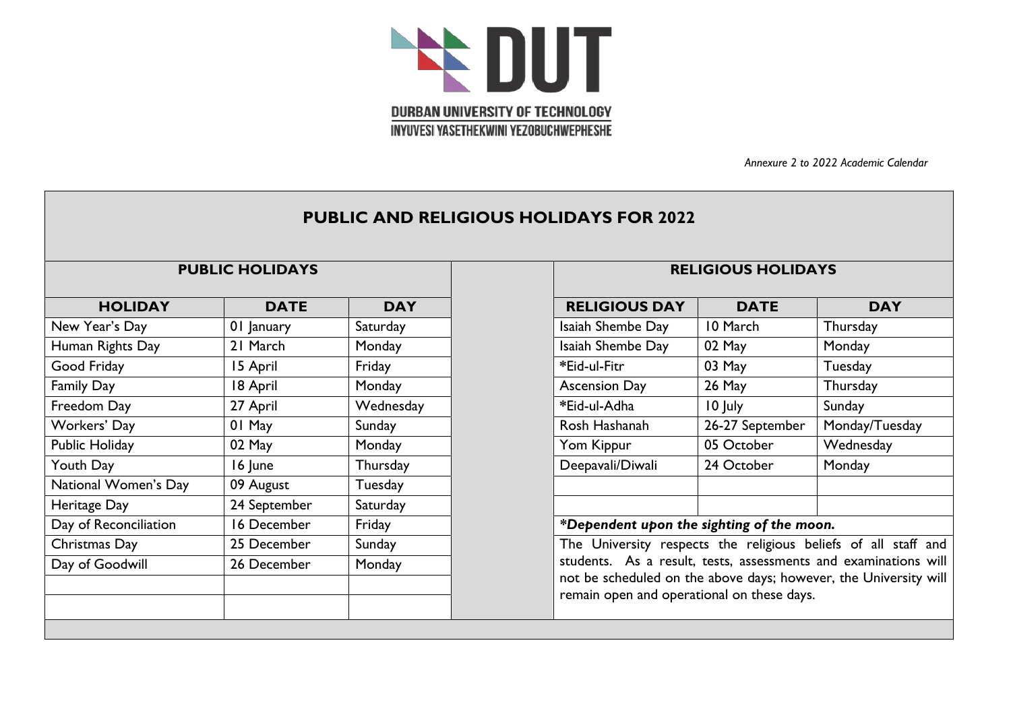

*Annexure 2 to 2022 Academic Calendar*

# **PUBLIC AND RELIGIOUS HOLIDAYS FOR 2022**

| <b>HOLIDAY</b>        | <b>DATE</b>  | <b>DAY</b> | <b>RELIGIOUS DAY</b>                                       | <b>DATE</b>                                                                                                                                                             | <b>DAY</b>     |  |  |  |
|-----------------------|--------------|------------|------------------------------------------------------------|-------------------------------------------------------------------------------------------------------------------------------------------------------------------------|----------------|--|--|--|
| New Year's Day        | 01 January   | Saturday   | Isaiah Shembe Day                                          | 10 March                                                                                                                                                                | Thursday       |  |  |  |
| Human Rights Day      | 21 March     | Monday     | Isaiah Shembe Day                                          | 02 May                                                                                                                                                                  | Monday         |  |  |  |
| Good Friday           | 15 April     | Friday     | *Eid-ul-Fitr                                               | 03 May<br>Tuesday                                                                                                                                                       |                |  |  |  |
| <b>Family Day</b>     | 18 April     | Monday     | <b>Ascension Day</b>                                       | 26 May                                                                                                                                                                  | Thursday       |  |  |  |
| Freedom Day           | 27 April     | Wednesday  | *Eid-ul-Adha                                               | 10 July                                                                                                                                                                 | Sunday         |  |  |  |
| Workers' Day          | 01 May       | Sunday     | Rosh Hashanah                                              | 26-27 September                                                                                                                                                         | Monday/Tuesday |  |  |  |
| Public Holiday        | 02 May       | Monday     | Yom Kippur                                                 | 05 October                                                                                                                                                              | Wednesday      |  |  |  |
| Youth Day             | 16 June      | Thursday   | Deepavali/Diwali                                           | 24 October<br>Monday                                                                                                                                                    |                |  |  |  |
| National Women's Day  | 09 August    | Tuesday    |                                                            |                                                                                                                                                                         |                |  |  |  |
| Heritage Day          | 24 September | Saturday   |                                                            |                                                                                                                                                                         |                |  |  |  |
| Day of Reconciliation | 16 December  | Friday     | *Dependent upon the sighting of the moon.                  |                                                                                                                                                                         |                |  |  |  |
| Christmas Day         | 25 December  | Sunday     | The University respects the religious beliefs of all staff |                                                                                                                                                                         |                |  |  |  |
| Day of Goodwill       | 26 December  | Monday     |                                                            | students. As a result, tests, assessments and examinations<br>not be scheduled on the above days; however, the University<br>remain open and operational on these days. |                |  |  |  |
|                       |              |            |                                                            |                                                                                                                                                                         |                |  |  |  |

## **PUBLIC HOLIDAYS RELIGIOUS HOLIDAYS**

| <b>RELIGIOUS DAY</b> | <b>DATE</b>     | DAY             |
|----------------------|-----------------|-----------------|
| Isaiah Shembe Day    | 10 March        | Thursday        |
| Isaiah Shembe Day    | 02 May          | Monday          |
| *Eid-ul-Fitr         | 03 May          | Tuesday         |
| <b>Ascension Day</b> | 26 May          | <b>Thursday</b> |
| *Eid-ul-Adha         | 10 July         | Sunday          |
| Rosh Hashanah        | 26-27 September | Monday/Tuesday  |
| Yom Kippur           | 05 October      | Wednesday       |
| Deepavali/Diwali     | 24 October      | Monday          |
|                      |                 |                 |
|                      |                 |                 |

# \*Dependent upon the sighting of the moon.

The University respects the religious beliefs of all staff and students. As a result, tests, assessments and examinations will not be scheduled on the above days; however, the University will remain open and operational on these days.